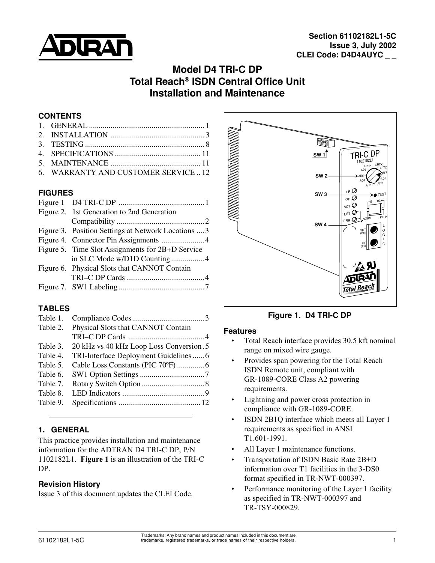

# **Model D4 TRI-C DP Total Reach® ISDN Central Office Unit Installation and Maintenance**

### **CONTENTS**

| 6. WARRANTY AND CUSTOMER SERVICE12 |
|------------------------------------|

### **FIGURES**

| Figure 2. 1st Generation to 2nd Generation          |                             |
|-----------------------------------------------------|-----------------------------|
|                                                     |                             |
| Figure 3. Position Settings at Network Locations  3 |                             |
|                                                     |                             |
| Figure 5. Time Slot Assignments for 2B+D Service    |                             |
|                                                     |                             |
| Figure 6. Physical Slots that CANNOT Contain        |                             |
|                                                     |                             |
|                                                     |                             |
|                                                     | in SLC Mode w/D1D Counting4 |

### **TABLES**

| Table 1. |                                          |
|----------|------------------------------------------|
| Table 2. | Physical Slots that CANNOT Contain       |
|          |                                          |
| Table 3. | 20 kHz vs 40 kHz Loop Loss Conversion. 5 |
| Table 4. | TRI-Interface Deployment Guidelines6     |
| Table 5. |                                          |
| Table 6. |                                          |
| Table 7. |                                          |
| Table 8. |                                          |
| Table 9. |                                          |

## **1. GENERAL**

This practice provides installation and maintenance information for the ADTRAN D4 TRI-C DP, P/N 1102182L1. **Figure 1** is an illustration of the TRI-C DP.

### **Revision History**

Issue 3 of this document updates the CLEI Code.



**Figure 1. D4 TRI-C DP**

#### **Features**

- Total Reach interface provides 30.5 kft nominal range on mixed wire gauge.
- Provides span powering for the Total Reach ISDN Remote unit, compliant with GR-1089-CORE Class A2 powering requirements.
- Lightning and power cross protection in compliance with GR-1089-CORE.
- ISDN 2B1Q interface which meets all Layer 1 requirements as specified in ANSI T1.601-1991.
- All Layer 1 maintenance functions.
- Transportation of ISDN Basic Rate 2B+D information over T1 facilities in the 3-DS0 format specified in TR-NWT-000397.
- Performance monitoring of the Layer 1 facility as specified in TR-NWT-000397 and TR-TSY-000829.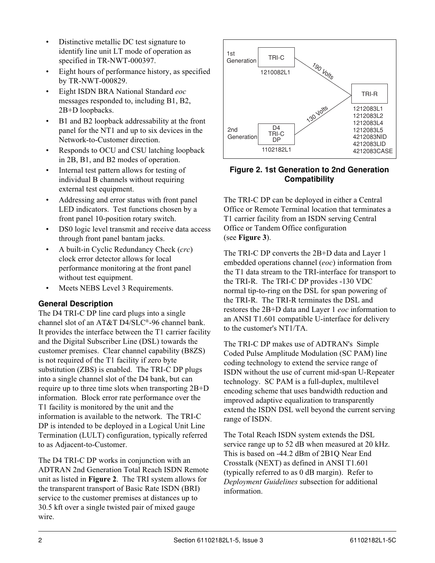- <span id="page-1-0"></span>• Distinctive metallic DC test signature to identify line unit LT mode of operation as specified in TR-NWT-000397.
- Eight hours of performance history, as specified by TR-NWT-000829.
- Eight ISDN BRA National Standard *eoc* messages responded to, including B1, B2, 2B+D loopbacks.
- B1 and B2 loopback addressability at the front panel for the NT1 and up to six devices in the Network-to-Customer direction.
- Responds to OCU and CSU latching loopback in 2B, B1, and B2 modes of operation.
- Internal test pattern allows for testing of individual B channels without requiring external test equipment.
- Addressing and error status with front panel LED indicators. Test functions chosen by a front panel 10-position rotary switch.
- DS0 logic level transmit and receive data access through front panel bantam jacks.
- A built-in Cyclic Redundancy Check (*crc*) clock error detector allows for local performance monitoring at the front panel without test equipment.
- Meets NEBS Level 3 Requirements.

## **General Description**

The D4 TRI-C DP line card plugs into a single channel slot of an AT&T D4/SLC®-96 channel bank. It provides the interface between the T1 carrier facility and the Digital Subscriber Line (DSL) towards the customer premises. Clear channel capability (B8ZS) is not required of the T1 facility if zero byte substitution (ZBS) is enabled. The TRI-C DP plugs into a single channel slot of the D4 bank, but can require up to three time slots when transporting 2B+D information. Block error rate performance over the T1 facility is monitored by the unit and the information is available to the network. The TRI-C DP is intended to be deployed in a Logical Unit Line Termination (LULT) configuration, typically referred to as Adjacent-to-Customer.

The D4 TRI-C DP works in conjunction with an ADTRAN 2nd Generation Total Reach ISDN Remote unit as listed in **Figure 2**. The TRI system allows for the transparent transport of Basic Rate ISDN (BRI) service to the customer premises at distances up to 30.5 kft over a single twisted pair of mixed gauge wire.



### **Figure 2. 1st Generation to 2nd Generation Compatibility**

The TRI-C DP can be deployed in either a Central Office or Remote Terminal location that terminates a T1 carrier facility from an ISDN serving Central Office or Tandem Office configuration (see **Figure 3**).

The TRI-C DP converts the 2B+D data and Layer 1 embedded operations channel (*eoc*) information from the T1 data stream to the TRI-interface for transport to the TRI-R. The TRI-C DP provides -130 VDC normal tip-to-ring on the DSL for span powering of the TRI-R. The TRI-R terminates the DSL and restores the 2B+D data and Layer 1 *eoc* information to an ANSI T1.601 compatible U-interface for delivery to the customer's NT1/TA.

The TRI-C DP makes use of ADTRAN's Simple Coded Pulse Amplitude Modulation (SC PAM) line coding technology to extend the service range of ISDN without the use of current mid-span U-Repeater technology. SC PAM is a full-duplex, multilevel encoding scheme that uses bandwidth reduction and improved adaptive equalization to transparently extend the ISDN DSL well beyond the current serving range of ISDN.

The Total Reach ISDN system extends the DSL service range up to 52 dB when measured at 20 kHz. This is based on -44.2 dBm of 2B1Q Near End Crosstalk (NEXT) as defined in ANSI T1.601 (typically referred to as 0 dB margin). Refer to *Deployment Guidelines* subsection for additional information.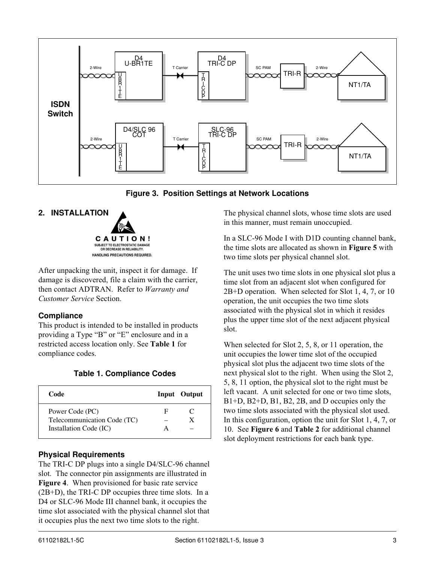<span id="page-2-0"></span>

**Figure 3. Position Settings at Network Locations**

### **2. INSTALLATION**



After unpacking the unit, inspect it for damage. If damage is discovered, file a claim with the carrier, then contact ADTRAN. Refer to *Warranty and Customer Service* Section.

## **Compliance**

This product is intended to be installed in products providing a Type "B" or "E" enclosure and in a restricted access location only. See **Table 1** for compliance codes.

| Code                        |   | <b>Input</b> Output |
|-----------------------------|---|---------------------|
| Power Code (PC)             | F |                     |
| Telecommunication Code (TC) |   |                     |
| Installation Code (IC)      |   |                     |

## **Physical Requirements**

The TRI-C DP plugs into a single D4/SLC-96 channel slot. The connector pin assignments are illustrated in **Figure 4**. When provisioned for basic rate service (2B+D), the TRI-C DP occupies three time slots. In a D<sub>4</sub> or SLC-96 Mode III channel bank, it occupies the time slot associated with the physical channel slot that it occupies plus the next two time slots to the right.

The physical channel slots, whose time slots are used in this manner, must remain unoccupied.

In a SLC-96 Mode I with D1D counting channel bank, the time slots are allocated as shown in **Figure 5** with two time slots per physical channel slot.

The unit uses two time slots in one physical slot plus a time slot from an adjacent slot when configured for 2B+D operation. When selected for Slot 1, 4, 7, or 10 operation, the unit occupies the two time slots associated with the physical slot in which it resides plus the upper time slot of the next adjacent physical slot.

When selected for Slot 2, 5, 8, or 11 operation, the unit occupies the lower time slot of the occupied physical slot plus the adjacent two time slots of the next physical slot to the right. When using the Slot 2, 5, 8, 11 option, the physical slot to the right must be left vacant. A unit selected for one or two time slots, B1+D, B2+D, B1, B2, 2B, and D occupies only the two time slots associated with the physical slot used. In this configuration, option the unit for Slot 1, 4, 7, or 10. See **Figure 6** and **Table 2** for additional channel slot deployment restrictions for each bank type.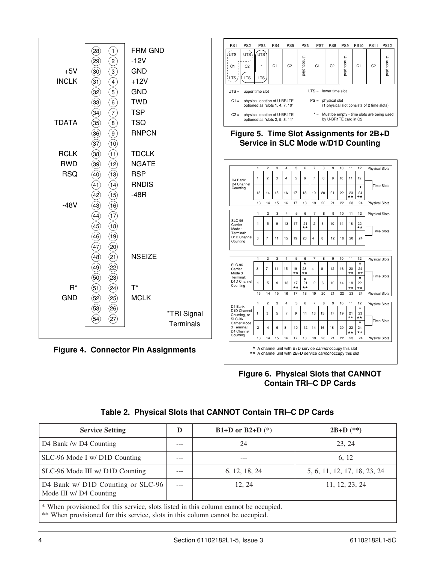<span id="page-3-0"></span>

**Figure 6. Physical Slots that CANNOT Contain TRI–C DP Cards**

|  | Table 2. Physical Slots that CANNOT Contain TRI-C DP Cards |  |  |  |  |
|--|------------------------------------------------------------|--|--|--|--|
|--|------------------------------------------------------------|--|--|--|--|

| <b>Service Setting</b>                                                               | D   | B1+D or B2+D $(*)$ | $2B+D$ (**)                  |  |
|--------------------------------------------------------------------------------------|-----|--------------------|------------------------------|--|
| D4 Bank /w D4 Counting                                                               | --- | 24                 | 23, 24                       |  |
| SLC-96 Mode I w/ D1D Counting                                                        | --- |                    | 6.12                         |  |
| SLC-96 Mode III w/ D1D Counting                                                      | --- | 6, 12, 18, 24      | 5, 6, 11, 12, 17, 18, 23, 24 |  |
| D4 Bank w/ D1D Counting or SLC-96<br>Mode III w/ D4 Counting                         |     | 12.24              | 11, 12, 23, 24               |  |
| * When provisioned for this service, slots listed in this column cannot be occupied. |     |                    |                              |  |

\*\* When provisioned for this service, slots in this column cannot be occupied.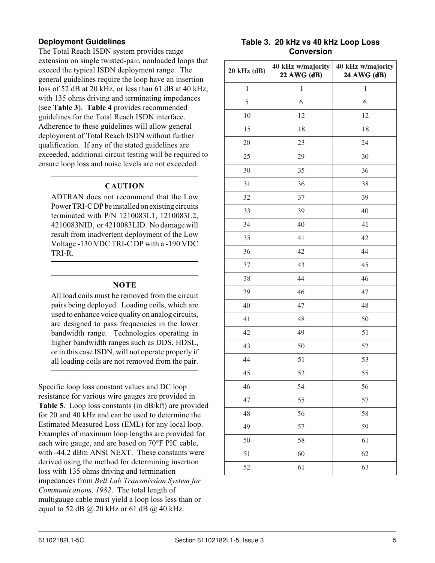## <span id="page-4-0"></span>**Deployment Guidelines**

The Total Reach ISDN system provides range extension on single twisted-pair, nonloaded loops that exceed the typical ISDN deployment range. The general guidelines require the loop have an insertion loss of 52 dB at 20 kHz, or less than 61 dB at 40 kHz, with 135 ohms driving and terminating impedances (see **Table 3**). **Table 4** provides recommended guidelines for the Total Reach ISDN interface. Adherence to these guidelines will allow general deployment of Total Reach ISDN without further qualification. If any of the stated guidelines are exceeded, additional circuit testing will be required to ensure loop loss and noise levels are not exceeded.

#### **CAUTION**

ADTRAN does not recommend that the Low Power TRI-C DP be installed on existing circuits terminated with P/N 1210083L1, 1210083L2, 4210083NID, or 4210083LID. No damage will result from inadvertent deployment of the Low Voltage -130 VDC TRI-C DP with a -190 VDC TRI-R.

### **NOTE**

All load coils must be removed from the circuit pairs being deployed. Loading coils, which are used to enhance voice quality on analog circuits, are designed to pass frequencies in the lower bandwidth range. Technologies operating in higher bandwidth ranges such as DDS, HDSL, or in this case ISDN, will not operate properly if all loading coils are not removed from the pair.

Specific loop loss constant values and DC loop resistance for various wire gauges are provided in **Table 5**. Loop loss constants (in dB/kft) are provided for 20 and 40 kHz and can be used to determine the Estimated Measured Loss (EML) for any local loop. Examples of maximum loop lengths are provided for each wire gauge, and are based on 70°F PIC cable, with -44.2 dBm ANSI NEXT. These constants were derived using the method for determining insertion loss with 135 ohms driving and termination impedances from *Bell Lab Transmission System for Communications, 1982*. The total length of multigauge cable must yield a loop loss less than or equal to 52 dB  $\omega$  20 kHz or 61 dB  $\omega$  40 kHz.

### **Table 3. 20 kHz vs 40 kHz Loop Loss Conversion**

| 20 kHz (dB) | 40 kHz w/majority<br>22 AWG (dB) | 40 kHz w/majority<br>24 AWG (dB) |
|-------------|----------------------------------|----------------------------------|
| $\,1$       | $\mathbf{1}$                     | $\mathbf{1}$                     |
| 5           | 6                                | 6                                |
| 10          | 12                               | 12                               |
| 15          | 18                               | 18                               |
| 20          | 23                               | 24                               |
| 25          | 29                               | 30                               |
| 30          | 35                               | 36                               |
| 31          | 36                               | 38                               |
| 32          | 37                               | 39                               |
| 33          | 39                               | 40                               |
| 34          | 40                               | 41                               |
| 35          | 41                               | 42                               |
| 36          | 42                               | 44                               |
| 37          | 43                               | 45                               |
| 38          | 44                               | 46                               |
| 39          | 46                               | 47                               |
| 40          | 47                               | 48                               |
| 41          | 48                               | 50                               |
| 42          | 49                               | 51                               |
| 43          | 50                               | 52                               |
| 44          | 51                               | 53                               |
| 45          | 53                               | 55                               |
| 46          | 54                               | 56                               |
| 47          | 55                               | 57                               |
| 48          | 56                               | 58                               |
| 49          | 57                               | 59                               |
| 50          | 58                               | 61                               |
| 51          | 60                               | 62                               |
| 52          | 61                               | 63                               |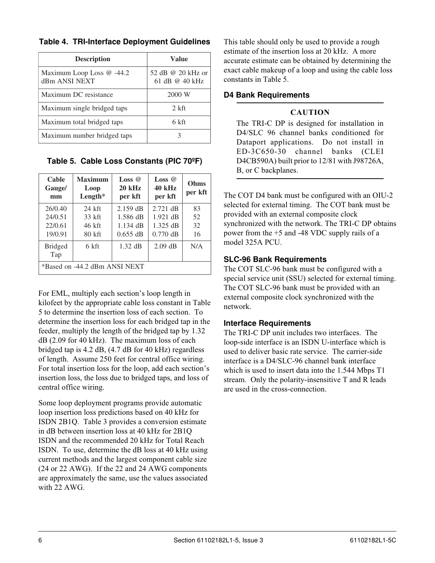| <b>Description</b>                         | Value                               |
|--------------------------------------------|-------------------------------------|
| Maximum Loop Loss @ -44.2<br>dBm ANSI NEXT | 52 dB @ 20 kHz or<br>61 dB @ 40 kHz |
| Maximum DC resistance                      | 2000 W                              |
| Maximum single bridged taps                | $2$ kft                             |
| Maximum total bridged taps                 | 6 kft                               |
| Maximum number bridged taps                |                                     |

<span id="page-5-0"></span>**Table 4. TRI-Interface Deployment Guidelines**

**Table 5. Cable Loss Constants (PIC 70ºF)**

| Cable<br>Gauge/<br>mm         | <b>Maximum</b><br>Loop<br>Length* | Loss $\omega$<br>$20$ kHz<br>per kft | Loss $\omega$<br>40 kHz<br>per kft | Ohms<br>per kft |
|-------------------------------|-----------------------------------|--------------------------------------|------------------------------------|-----------------|
| 26/0.40                       | $24$ kft                          | $2.159$ dB                           | $2.721$ dB                         | 83              |
| 24/0.51                       | 33 kft                            | $1.586$ dB                           | $1.921$ dB                         | 52              |
| 22/0.61                       | 46 kft                            | $1.134$ dB                           | $1.325$ dB                         | 32              |
| 19/0.91                       | $80$ kft                          | $0.655$ dB                           | $0.770$ dB                         | 16              |
| <b>Bridged</b><br>Tap         | 6 kft                             | $1.32$ dB                            | $2.09$ dB                          | N/A             |
| *Based on -44.2 dBm ANSI NEXT |                                   |                                      |                                    |                 |

For EML, multiply each section's loop length in kilofeet by the appropriate cable loss constant in Table 5 to determine the insertion loss of each section. To determine the insertion loss for each bridged tap in the feeder, multiply the length of the bridged tap by 1.32 dB (2.09 for 40 kHz). The maximum loss of each bridged tap is 4.2 dB, (4.7 dB for 40 kHz) regardless of length. Assume 250 feet for central office wiring. For total insertion loss for the loop, add each section's insertion loss, the loss due to bridged taps, and loss of central office wiring.

Some loop deployment programs provide automatic loop insertion loss predictions based on 40 kHz for ISDN 2B1Q. Table 3 provides a conversion estimate in dB between insertion loss at 40 kHz for 2B1Q ISDN and the recommended 20 kHz for Total Reach ISDN. To use, determine the dB loss at 40 kHz using current methods and the largest component cable size (24 or 22 AWG). If the 22 and 24 AWG components are approximately the same, use the values associated with 22 AWG.

This table should only be used to provide a rough estimate of the insertion loss at 20 kHz. A more accurate estimate can be obtained by determining the exact cable makeup of a loop and using the cable loss constants in Table 5.

## **D4 Bank Requirements**

## **CAUTION**

The TRI-C DP is designed for installation in D4/SLC 96 channel banks conditioned for Dataport applications. Do not install in ED-3C650-30 channel banks (CLEI D4CB590A) built prior to 12/81 with J98726A, B, or C backplanes.

The COT D4 bank must be configured with an OIU-2 selected for external timing. The COT bank must be provided with an external composite clock synchronized with the network. The TRI-C DP obtains power from the +5 and -48 VDC supply rails of a model 325A PCU.

## **SLC-96 Bank Requirements**

The COT SLC-96 bank must be configured with a special service unit (SSU) selected for external timing. The COT SLC-96 bank must be provided with an external composite clock synchronized with the network.

## **Interface Requirements**

The TRI-C DP unit includes two interfaces. The loop-side interface is an ISDN U-interface which is used to deliver basic rate service. The carrier-side interface is a D4/SLC-96 channel bank interface which is used to insert data into the 1.544 Mbps T1 stream. Only the polarity-insensitive T and R leads are used in the cross-connection.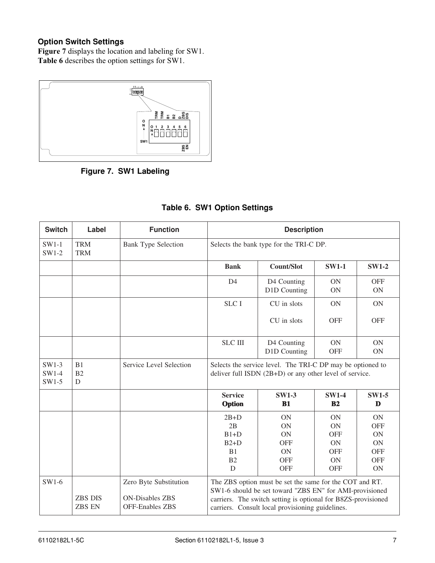## <span id="page-6-0"></span>**Option Switch Settings**

**Figure 7** displays the location and labeling for SW1. **Table 6** describes the option settings for SW1.



**Figure 7. SW1 Labeling**

| <b>Switch</b>               | Label                           | <b>Function</b>                                                            | <b>Description</b>                                                                                                                                                                                                                      |                             |                                |                         |
|-----------------------------|---------------------------------|----------------------------------------------------------------------------|-----------------------------------------------------------------------------------------------------------------------------------------------------------------------------------------------------------------------------------------|-----------------------------|--------------------------------|-------------------------|
| $SW1-1$<br>$SW1-2$          | <b>TRM</b><br><b>TRM</b>        | <b>Bank Type Selection</b>                                                 | Selects the bank type for the TRI-C DP.                                                                                                                                                                                                 |                             |                                |                         |
|                             |                                 |                                                                            | <b>Bank</b>                                                                                                                                                                                                                             | <b>Count/Slot</b>           | <b>SW1-1</b>                   | <b>SW1-2</b>            |
|                             |                                 |                                                                            | D <sub>4</sub>                                                                                                                                                                                                                          | D4 Counting<br>D1D Counting | <b>ON</b><br>ON                | <b>OFF</b><br><b>ON</b> |
|                             |                                 |                                                                            | <b>SLC I</b>                                                                                                                                                                                                                            | CU in slots                 | <b>ON</b>                      | <b>ON</b>               |
|                             |                                 |                                                                            |                                                                                                                                                                                                                                         | CU in slots                 | <b>OFF</b>                     | <b>OFF</b>              |
|                             |                                 |                                                                            | <b>SLC III</b>                                                                                                                                                                                                                          | D4 Counting<br>D1D Counting | <b>ON</b><br><b>OFF</b>        | <b>ON</b><br><b>ON</b>  |
| $SW1-3$<br>SW1-4<br>$SW1-5$ | B1<br>B2<br>D                   | Service Level Selection                                                    | Selects the service level. The TRI-C DP may be optioned to<br>deliver full ISDN (2B+D) or any other level of service.                                                                                                                   |                             |                                |                         |
|                             |                                 |                                                                            | <b>Service</b><br>Option                                                                                                                                                                                                                | <b>SW1-3</b><br><b>B1</b>   | <b>SW1-4</b><br>B <sub>2</sub> | <b>SW1-5</b><br>D       |
|                             |                                 |                                                                            | $2B+D$                                                                                                                                                                                                                                  | <b>ON</b>                   | <b>ON</b>                      | <b>ON</b>               |
|                             |                                 |                                                                            | 2B                                                                                                                                                                                                                                      | <b>ON</b>                   | <b>ON</b>                      | <b>OFF</b>              |
|                             |                                 |                                                                            | $B1+D$                                                                                                                                                                                                                                  | <b>ON</b>                   | <b>OFF</b>                     | <b>ON</b>               |
|                             |                                 |                                                                            | $B2+D$                                                                                                                                                                                                                                  | <b>OFF</b>                  | <b>ON</b>                      | <b>ON</b>               |
|                             |                                 |                                                                            | B1                                                                                                                                                                                                                                      | <b>ON</b>                   | <b>OFF</b>                     | <b>OFF</b>              |
|                             |                                 |                                                                            | B2                                                                                                                                                                                                                                      | <b>OFF</b>                  | <b>ON</b>                      | <b>OFF</b>              |
|                             |                                 |                                                                            | D                                                                                                                                                                                                                                       | <b>OFF</b>                  | <b>OFF</b>                     | <b>ON</b>               |
| $SW1-6$                     | <b>ZBS DIS</b><br><b>ZBS EN</b> | Zero Byte Substitution<br><b>ON-Disables ZBS</b><br><b>OFF-Enables ZBS</b> | The ZBS option must be set the same for the COT and RT.<br>SW1-6 should be set toward "ZBS EN" for AMI-provisioned<br>carriers. The switch setting is optional for B8ZS-provisioned<br>carriers. Consult local provisioning guidelines. |                             |                                |                         |

## **Table 6. SW1 Option Settings**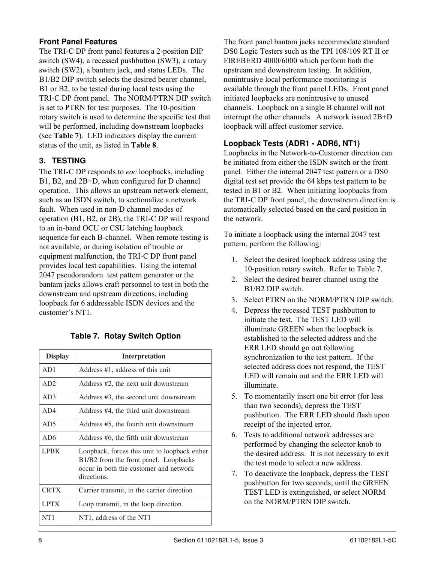### <span id="page-7-0"></span>**Front Panel Features**

The TRI-C DP front panel features a 2-position DIP switch (SW4), a recessed pushbutton (SW3), a rotary switch (SW2), a bantam jack, and status LEDs. The B1/B2 DIP switch selects the desired bearer channel, B1 or B2, to be tested during local tests using the TRI-C DP front panel. The NORM/PTRN DIP switch is set to PTRN for test purposes. The 10-position rotary switch is used to determine the specific test that will be performed, including downstream loopbacks (see **Table 7**). LED indicators display the current status of the unit, as listed in **Table 8**.

## **3. TESTING**

The TRI-C DP responds to *eoc* loopbacks, including B1, B2, and 2B+D, when configured for D channel operation. This allows an upstream network element, such as an ISDN switch, to sectionalize a network fault. When used in non-D channel modes of operation (B1, B2, or 2B), the TRI-C DP will respond to an in-band OCU or CSU latching loopback sequence for each B-channel. When remote testing is not available, or during isolation of trouble or equipment malfunction, the TRI-C DP front panel provides local test capabilities. Using the internal 2047 pseudorandom test pattern generator or the bantam jacks allows craft personnel to test in both the downstream and upstream directions, including loopback for 6 addressable ISDN devices and the customer's NT1.

## **Table 7. Rotay Switch Option**

| <b>Display</b>  | <b>Interpretation</b>                                                                                                                           |
|-----------------|-------------------------------------------------------------------------------------------------------------------------------------------------|
| AD1             | Address #1, address of this unit                                                                                                                |
| AD2             | Address #2, the next unit downstream                                                                                                            |
| AD3             | Address #3, the second unit downstream                                                                                                          |
| AD4             | Address #4, the third unit downstream                                                                                                           |
| AD5             | Address #5, the fourth unit downstream                                                                                                          |
| AD <sub>6</sub> | Address #6, the fifth unit downstream                                                                                                           |
| <b>LPBK</b>     | Loopback, forces this unit to loopback either<br>B1/B2 from the front panel. Loopbacks<br>occur in both the customer and network<br>directions. |
| <b>CRTX</b>     | Carrier transmit, in the carrier direction                                                                                                      |
| <b>LPTX</b>     | Loop transmit, in the loop direction                                                                                                            |
| NT1             | NT1, address of the NT1                                                                                                                         |

The front panel bantam jacks accommodate standard DS0 Logic Testers such as the TPI 108/109 RT II or FIREBERD 4000/6000 which perform both the upstream and downstream testing. In addition, nonintrusive local performance monitoring is available through the front panel LEDs. Front panel initiated loopbacks are nonintrusive to unused channels. Loopback on a single B channel will not interrupt the other channels. A network issued 2B+D loopback will affect customer service.

### **Loopback Tests (ADR1 - ADR6, NT1)**

Loopbacks in the Network-to-Customer direction can be initiated from either the ISDN switch or the front panel. Either the internal 2047 test pattern or a DS0 digital test set provide the 64 kbps test pattern to be tested in B1 or B2. When initiating loopbacks from the TRI-C DP front panel, the downstream direction is automatically selected based on the card position in the network.

To initiate a loopback using the internal 2047 test pattern, perform the following:

- 1. Select the desired loopback address using the 10-position rotary switch. Refer to Table 7.
- 2. Select the desired bearer channel using the B1/B2 DIP switch.
- 3. Select PTRN on the NORM/PTRN DIP switch.
- 4. Depress the recessed TEST pushbutton to initiate the test. The TEST LED will illuminate GREEN when the loopback is established to the selected address and the ERR LED should go out following synchronization to the test pattern. If the selected address does not respond, the TEST LED will remain out and the ERR LED will illuminate.
- 5. To momentarily insert one bit error (for less than two seconds), depress the TEST pushbutton. The ERR LED should flash upon receipt of the injected error.
- 6. Tests to additional network addresses are performed by changing the selector knob to the desired address. It is not necessary to exit the test mode to select a new address.
- 7. To deactivate the loopback, depress the TEST pushbutton for two seconds, until the GREEN TEST LED is extinguished, or select NORM on the NORM/PTRN DIP switch.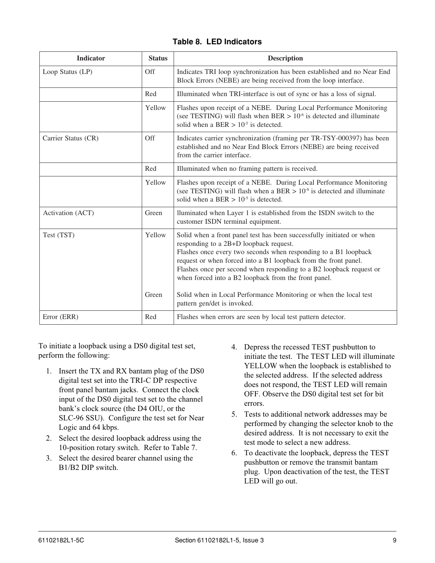### **Table 8. LED Indicators**

<span id="page-8-0"></span>

| <b>Indicator</b>    | <b>Status</b>   | <b>Description</b>                                                                                                                                                                                                                                                                                                                                                                                                                                                                       |
|---------------------|-----------------|------------------------------------------------------------------------------------------------------------------------------------------------------------------------------------------------------------------------------------------------------------------------------------------------------------------------------------------------------------------------------------------------------------------------------------------------------------------------------------------|
| Loop Status (LP)    | Off             | Indicates TRI loop synchronization has been established and no Near End<br>Block Errors (NEBE) are being received from the loop interface.                                                                                                                                                                                                                                                                                                                                               |
|                     | Red             | Illuminated when TRI-interface is out of sync or has a loss of signal.                                                                                                                                                                                                                                                                                                                                                                                                                   |
|                     | Yellow          | Flashes upon receipt of a NEBE. During Local Performance Monitoring<br>(see TESTING) will flash when BER $> 10^{-6}$ is detected and illuminate<br>solid when a BER $> 10^{-5}$ is detected.                                                                                                                                                                                                                                                                                             |
| Carrier Status (CR) | Off             | Indicates carrier synchronization (framing per TR-TSY-000397) has been<br>established and no Near End Block Errors (NEBE) are being received<br>from the carrier interface.                                                                                                                                                                                                                                                                                                              |
|                     | Red             | Illuminated when no framing pattern is received.                                                                                                                                                                                                                                                                                                                                                                                                                                         |
|                     | Yellow          | Flashes upon receipt of a NEBE. During Local Performance Monitoring<br>(see TESTING) will flash when a BER $> 10^{-6}$ is detected and illuminate<br>solid when a BER $> 10^{-5}$ is detected.                                                                                                                                                                                                                                                                                           |
| Activation (ACT)    | Green           | lluminated when Layer 1 is established from the ISDN switch to the<br>customer ISDN terminal equipment.                                                                                                                                                                                                                                                                                                                                                                                  |
| Test (TST)          | Yellow<br>Green | Solid when a front panel test has been successfully initiated or when<br>responding to a 2B+D loopback request.<br>Flashes once every two seconds when responding to a B1 loopback<br>request or when forced into a B1 loopback from the front panel.<br>Flashes once per second when responding to a B2 loopback request or<br>when forced into a B2 loopback from the front panel.<br>Solid when in Local Performance Monitoring or when the local test<br>pattern gen/det is invoked. |
| Error (ERR)         | Red             | Flashes when errors are seen by local test pattern detector.                                                                                                                                                                                                                                                                                                                                                                                                                             |
|                     |                 |                                                                                                                                                                                                                                                                                                                                                                                                                                                                                          |

To initiate a loopback using a DS0 digital test set, perform the following:

- 1. Insert the TX and RX bantam plug of the DS0 digital test set into the TRI-C DP respective front panel bantam jacks. Connect the clock input of the DS0 digital test set to the channel bank's clock source (the D4 OIU, or the SLC-96 SSU). Configure the test set for Near Logic and 64 kbps.
- 2. Select the desired loopback address using the 10-position rotary switch. Refer to Table 7.
- 3. Select the desired bearer channel using the B1/B2 DIP switch.
- 4. Depress the recessed TEST pushbutton to initiate the test. The TEST LED will illuminate YELLOW when the loopback is established to the selected address. If the selected address does not respond, the TEST LED will remain OFF. Observe the DS0 digital test set for bit errors.
- 5. Tests to additional network addresses may be performed by changing the selector knob to the desired address. It is not necessary to exit the test mode to select a new address.
- 6. To deactivate the loopback, depress the TEST pushbutton or remove the transmit bantam plug. Upon deactivation of the test, the TEST LED will go out.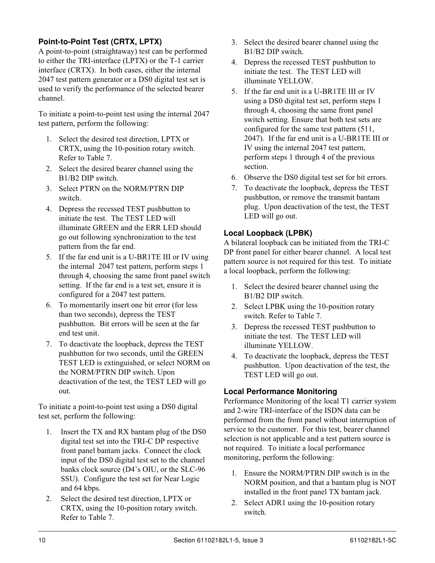## **Point-to-Point Test (CRTX, LPTX)**

A point-to-point (straightaway) test can be performed to either the TRI-interface (LPTX) or the T-1 carrier interface (CRTX). In both cases, either the internal 2047 test pattern generator or a DS0 digital test set is used to verify the performance of the selected bearer channel.

To initiate a point-to-point test using the internal 2047 test pattern, perform the following:

- 1. Select the desired test direction, LPTX or CRTX, using the 10-position rotary switch. Refer to Table 7.
- 2. Select the desired bearer channel using the B1/B2 DIP switch.
- 3. Select PTRN on the NORM/PTRN DIP switch.
- 4. Depress the recessed TEST pushbutton to initiate the test. The TEST LED will illuminate GREEN and the ERR LED should go out following synchronization to the test pattern from the far end.
- 5. If the far end unit is a U-BR1TE III or IV using the internal 2047 test pattern, perform steps 1 through 4, choosing the same front panel switch setting. If the far end is a test set, ensure it is configured for a 2047 test pattern.
- 6. To momentarily insert one bit error (for less than two seconds), depress the TEST pushbutton. Bit errors will be seen at the far end test unit.
- 7. To deactivate the loopback, depress the TEST pushbutton for two seconds, until the GREEN TEST LED is extinguished, or select NORM on the NORM/PTRN DIP switch. Upon deactivation of the test, the TEST LED will go out.

To initiate a point-to-point test using a DS0 digital test set, perform the following:

- 1. Insert the TX and RX bantam plug of the DS0 digital test set into the TRI-C DP respective front panel bantam jacks. Connect the clock input of the DS0 digital test set to the channel banks clock source (D4's OIU, or the SLC-96 SSU). Configure the test set for Near Logic and 64 kbps.
- 2. Select the desired test direction, LPTX or CRTX, using the 10-position rotary switch. Refer to Table 7.
- 3. Select the desired bearer channel using the B1/B2 DIP switch.
- 4. Depress the recessed TEST pushbutton to initiate the test. The TEST LED will illuminate YELLOW.
- 5. If the far end unit is a U-BR1TE III or IV using a DS0 digital test set, perform steps 1 through 4, choosing the same front panel switch setting. Ensure that both test sets are configured for the same test pattern (511, 2047). If the far end unit is a U-BR1TE III or IV using the internal 2047 test pattern, perform steps 1 through 4 of the previous section.
- 6. Observe the DS0 digital test set for bit errors.
- 7. To deactivate the loopback, depress the TEST pushbutton, or remove the transmit bantam plug. Upon deactivation of the test, the TEST LED will go out.

## **Local Loopback (LPBK)**

A bilateral loopback can be initiated from the TRI-C DP front panel for either bearer channel. A local test pattern source is not required for this test. To initiate a local loopback, perform the following:

- 1. Select the desired bearer channel using the B1/B2 DIP switch.
- 2. Select LPBK using the 10-position rotary switch. Refer to Table 7.
- 3. Depress the recessed TEST pushbutton to initiate the test. The TEST LED will illuminate YELLOW.
- 4. To deactivate the loopback, depress the TEST pushbutton. Upon deactivation of the test, the TEST LED will go out.

## **Local Performance Monitoring**

Performance Monitoring of the local T1 carrier system and 2-wire TRI-interface of the ISDN data can be performed from the front panel without interruption of service to the customer. For this test, bearer channel selection is not applicable and a test pattern source is not required. To initiate a local performance monitoring, perform the following:

- 1. Ensure the NORM/PTRN DIP switch is in the NORM position, and that a bantam plug is NOT installed in the front panel TX bantam jack.
- 2. Select ADR1 using the 10-position rotary switch.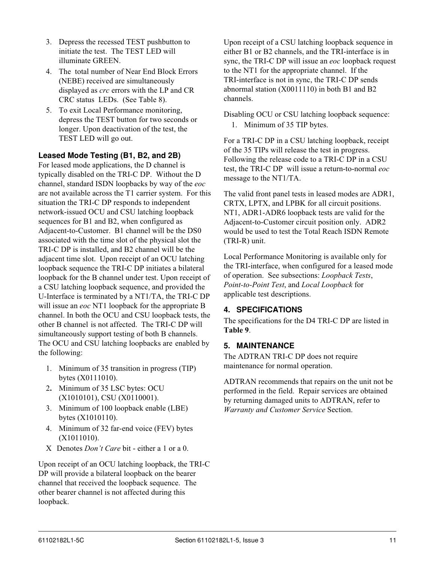- <span id="page-10-0"></span>3. Depress the recessed TEST pushbutton to initiate the test. The TEST LED will illuminate GREEN.
- 4. The total number of Near End Block Errors (NEBE) received are simultaneously displayed as *crc* errors with the LP and CR CRC status LEDs. (See Table 8).
- 5. To exit Local Performance monitoring, depress the TEST button for two seconds or longer. Upon deactivation of the test, the TEST LED will go out.

### **Leased Mode Testing (B1, B2, and 2B)**

For leased mode applications, the D channel is typically disabled on the TRI-C DP. Without the D channel, standard ISDN loopbacks by way of the *eoc* are not available across the T1 carrier system. For this situation the TRI-C DP responds to independent network-issued OCU and CSU latching loopback sequences for B1 and B2, when configured as Adjacent-to-Customer. B1 channel will be the DS0 associated with the time slot of the physical slot the TRI-C DP is installed, and B2 channel will be the adjacent time slot. Upon receipt of an OCU latching loopback sequence the TRI-C DP initiates a bilateral loopback for the B channel under test. Upon receipt of a CSU latching loopback sequence, and provided the U-Interface is terminated by a NT1/TA, the TRI-C DP will issue an *eoc* NT1 loopback for the appropriate B channel. In both the OCU and CSU loopback tests, the other B channel is not affected. The TRI-C DP will simultaneously support testing of both B channels. The OCU and CSU latching loopbacks are enabled by the following:

- 1. Minimum of 35 transition in progress (TIP) bytes (X0111010).
- 2**.** Minimum of 35 LSC bytes: OCU (X1010101), CSU (X0110001).
- 3. Minimum of 100 loopback enable (LBE) bytes (X1010110).
- 4. Minimum of 32 far-end voice (FEV) bytes (X1011010).
- X Denotes *Don't Care* bit either a 1 or a 0.

Upon receipt of an OCU latching loopback, the TRI-C DP will provide a bilateral loopback on the bearer channel that received the loopback sequence. The other bearer channel is not affected during this loopback.

Upon receipt of a CSU latching loopback sequence in either B1 or B2 channels, and the TRI-interface is in sync, the TRI-C DP will issue an *eoc* loopback request to the NT1 for the appropriate channel. If the TRI-interface is not in sync, the TRI-C DP sends abnormal station (X0011110) in both B1 and B2 channels.

Disabling OCU or CSU latching loopback sequence:

1. Minimum of 35 TIP bytes.

For a TRI-C DP in a CSU latching loopback, receipt of the 35 TIPs will release the test in progress. Following the release code to a TRI-C DP in a CSU test, the TRI-C DP will issue a return-to-normal *eoc* message to the NT1/TA.

The valid front panel tests in leased modes are ADR1, CRTX, LPTX, and LPBK for all circuit positions. NT1, ADR1-ADR6 loopback tests are valid for the Adjacent-to-Customer circuit position only. ADR2 would be used to test the Total Reach ISDN Remote (TRI-R) unit.

Local Performance Monitoring is available only for the TRI-interface, when configured for a leased mode of operation. See subsections: *Loopback Tests*, *Point-to-Point Test*, and *Local Loopback* for applicable test descriptions.

## **4. SPECIFICATIONS**

The specifications for the D4 TRI-C DP are listed in **Table 9**.

## **5. MAINTENANCE**

The ADTRAN TRI-C DP does not require maintenance for normal operation.

ADTRAN recommends that repairs on the unit not be performed in the field. Repair services are obtained by returning damaged units to ADTRAN, refer to *Warranty and Customer Service* Section.